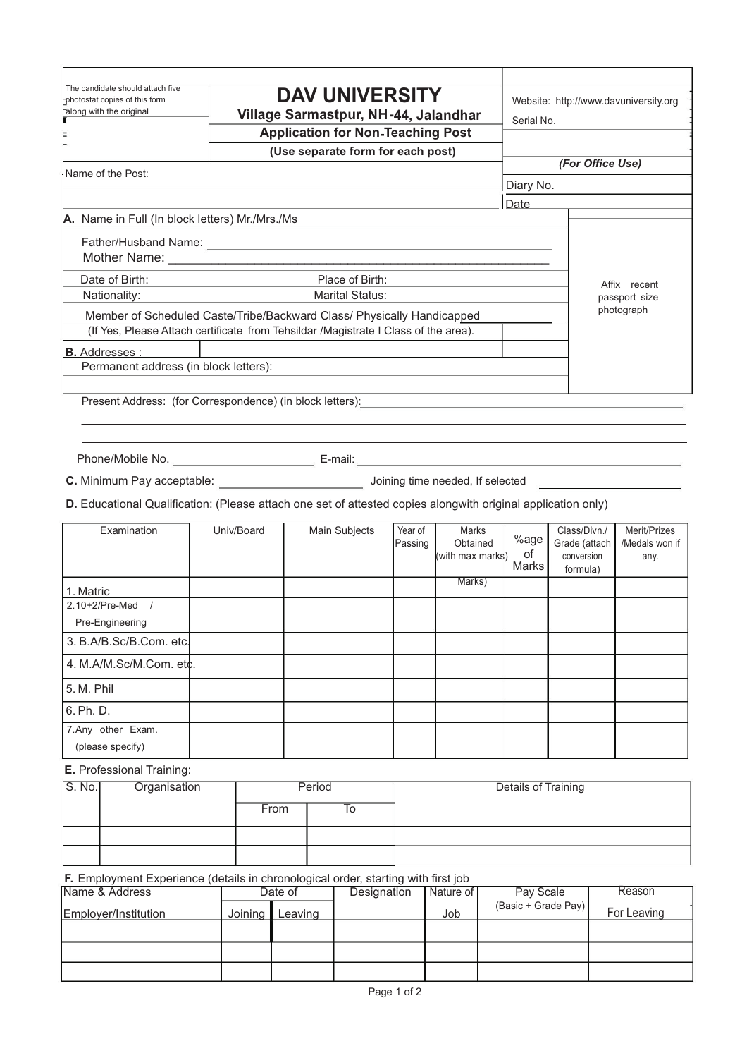| The candidate should attach five<br>photostat copies of this form | <b>DAV UNIVERSITY</b>                                                                                                                                                                                                              |           | Website: http://www.davuniversity.org |
|-------------------------------------------------------------------|------------------------------------------------------------------------------------------------------------------------------------------------------------------------------------------------------------------------------------|-----------|---------------------------------------|
| Talong with the original                                          | Village Sarmastpur, NH-44, Jalandhar                                                                                                                                                                                               |           |                                       |
|                                                                   | <b>Application for Non-Teaching Post</b>                                                                                                                                                                                           |           |                                       |
|                                                                   | (Use separate form for each post)                                                                                                                                                                                                  |           |                                       |
| Name of the Post:                                                 |                                                                                                                                                                                                                                    |           | (For Office Use)                      |
|                                                                   |                                                                                                                                                                                                                                    | Diary No. |                                       |
|                                                                   |                                                                                                                                                                                                                                    | Date      |                                       |
| A. Name in Full (In block letters) Mr./Mrs./Ms                    |                                                                                                                                                                                                                                    |           |                                       |
|                                                                   | Father/Husband Name: <u>Communications</u> and the contract of the contract of the contract of the contract of the contract of the contract of the contract of the contract of the contract of the contract of the contract of the |           |                                       |
|                                                                   |                                                                                                                                                                                                                                    |           |                                       |
| Date of Birth:                                                    | Place of Birth:                                                                                                                                                                                                                    |           |                                       |
|                                                                   | <u> 1980 - Johann Barbara, martin a</u><br><b>Marital Status:</b>                                                                                                                                                                  |           | Affix recent                          |
| Nationality:                                                      |                                                                                                                                                                                                                                    |           | passport size<br>photograph           |
|                                                                   | Member of Scheduled Caste/Tribe/Backward Class/ Physically Handicapped                                                                                                                                                             |           |                                       |
|                                                                   | (If Yes, Please Attach certificate from Tehsildar /Magistrate I Class of the area).                                                                                                                                                |           |                                       |
| <b>B.</b> Addresses :                                             |                                                                                                                                                                                                                                    |           |                                       |
| Permanent address (in block letters):                             |                                                                                                                                                                                                                                    |           |                                       |
|                                                                   |                                                                                                                                                                                                                                    |           |                                       |
|                                                                   |                                                                                                                                                                                                                                    |           |                                       |
|                                                                   |                                                                                                                                                                                                                                    |           |                                       |
|                                                                   |                                                                                                                                                                                                                                    |           |                                       |

**C.** Minimum Pay acceptable: Joining time needed, If selected

**D.** Educational Qualification: (Please attach one set of attested copies alongwith original application only)

| Examination             | Univ/Board | Main Subjects | Year of<br>Passing | Marks<br>Obtained<br>(with max marks) | %age<br>οf<br>Marks | Class/Divn./<br>Grade (attach<br>conversion<br>formula) | Merit/Prizes<br>/Medals won if<br>any. |
|-------------------------|------------|---------------|--------------------|---------------------------------------|---------------------|---------------------------------------------------------|----------------------------------------|
| 1. Matric               |            |               |                    | Marks)                                |                     |                                                         |                                        |
| 2.10+2/Pre-Med          |            |               |                    |                                       |                     |                                                         |                                        |
| Pre-Engineering         |            |               |                    |                                       |                     |                                                         |                                        |
| 3. B.A/B.Sc/B.Com. etc. |            |               |                    |                                       |                     |                                                         |                                        |
| 4. M.A/M.Sc/M.Com. etc. |            |               |                    |                                       |                     |                                                         |                                        |
| 5. M. Phil              |            |               |                    |                                       |                     |                                                         |                                        |
| 6. Ph. D.               |            |               |                    |                                       |                     |                                                         |                                        |
| 7.Any other Exam.       |            |               |                    |                                       |                     |                                                         |                                        |
| (please specify)        |            |               |                    |                                       |                     |                                                         |                                        |

**E.** Professional Training:

| S. No. | Organisation | Period |    | Details of Training |
|--------|--------------|--------|----|---------------------|
|        |              | From   | ıο |                     |
|        |              |        |    |                     |
|        |              |        |    |                     |

**F.** Employment Experience (details in chronological order, starting with first job

| Name & Address       | Date of |         | Designation | Nature of | Pay Scale           | Reason      |
|----------------------|---------|---------|-------------|-----------|---------------------|-------------|
| Employer/Institution | Joining | Leaving |             | Job       | (Basic + Grade Pay) | For Leaving |
|                      |         |         |             |           |                     |             |
|                      |         |         |             |           |                     |             |
|                      |         |         |             |           |                     |             |